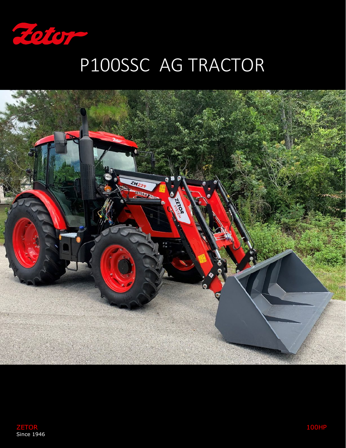

## P100SSC AG TRACTOR